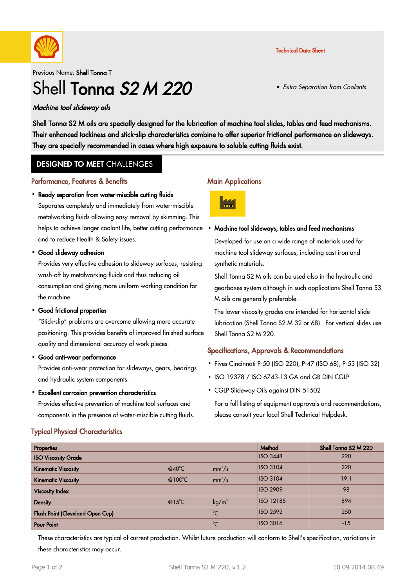

Technical Data Sheet

• Extra Separation from Coolants

Previous Name: Shell Tonna T

# Shell Tonna S<sub>2</sub> M 220

#### Machine tool slideway oils

Shell Tonna S2 M oils are specially designed for the lubrication of machine tool slides, tables and feed mechanisms. Their enhanced tackiness and stick-slip characteristics combine to offer superior frictional performance on slideways. They are specially recommended in cases where high exposure to soluble cutting fluids exist.

## **DESIGNED TO MEET CHALLENGES**

#### Performance, Features & Benefits

#### • Ready separation from water-miscible cutting fluids

Separates completely and immediately from water-miscible metalworking fluids allowing easy removal by skimming. This helps to achieve longer coolant life, better cutting performance. and to reduce Health & Safety issues.

Good slideway adhesion ·

Provides very effective adhesion to slideway surfaces, resisting wash-off by metalworking fluids and thus reducing oil consumption and giving more uniform working condition for the machine.

• Good frictional properties

"Stick-slip" problems are overcome allowing more accurate positioning. This provides benefits of improved finished surface quality and dimensional accuracy of work pieces.

Good anti-wear performance ·

Provides anti-wear protection for slideways, gears, bearings and hydraulic system components.

Excellent corrosion prevention characteristics ·

Provides effective prevention of machine tool surfaces and components in the presence of water-miscible cutting fluids.

# Typical Physical Characteristics

#### **Main Applications**



#### Machine tool slideways, tables and feed mechanisms ·

Developed for use on a wide range of materials used for machine tool slideway surfaces, including cast iron and synthetic materials.

Shell Tonna S2 M oils can be used also in the hydraulic and gearboxes system although in such applications Shell Tonna S3 M oils are generally preferable.

The lower viscosity grades are intended for horizontal slide lubrication (Shell Tonna S2 M 32 or 68). For vertical slides use Shell Tonna S2 M 220.

## Specifications, Approvals & Recommendations

- Fives Cincinnati P-50 (ISO 220), P-47 (ISO 68), P-53 (ISO 32) ·
- ISO 19378 / ISO 6743-13 GA and GB DIN CGLP
- CGLP Slideway Oils against DIN 51502

For a full listing of equipment approvals and recommendations, please consult your local Shell Technical Helpdesk.

| Properties                       |                  |                   | Method           | Shell Tonna S2 M 220 |
|----------------------------------|------------------|-------------------|------------------|----------------------|
| <b>ISO Viscosity Grade</b>       |                  |                   | <b>ISO 3448</b>  | 220                  |
| <b>Kinematic Viscosity</b>       | $@40^{\circ}$ C  | $mm^2/s$          | <b>ISO 3104</b>  | 220                  |
| <b>Kinematic Viscosity</b>       | @100 $\degree$ C | $mm^2/s$          | <b>ISO 3104</b>  | 19.1                 |
| <b>Viscosity Index</b>           |                  |                   | <b>ISO 2909</b>  | 98                   |
| <b>Density</b>                   | $@15^{\circ}$ C  | kg/m <sup>3</sup> | <b>ISO 12185</b> | 894                  |
| Flash Point (Cleveland Open Cup) |                  | $\rm ^{0}C$       | <b>ISO 2592</b>  | 250                  |
| <b>Pour Point</b>                |                  | $\rm ^{0}C$       | <b>ISO 3016</b>  | $-15$                |

These characteristics are typical of current production. Whilst future production will conform to Shell's specification, variations in these characteristics may occur.